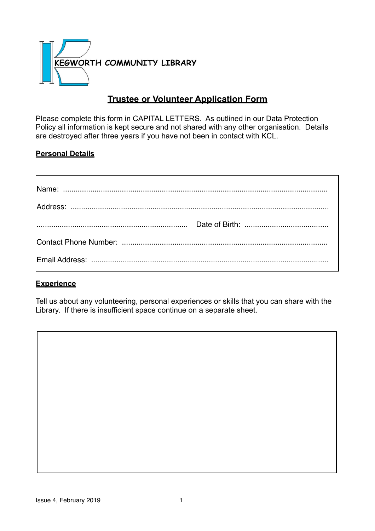

# **Trustee or Volunteer Application Form**

Please complete this form in CAPITAL LETTERS. As outlined in our Data Protection Policy all information is kept secure and not shared with any other organisation. Details are destroyed after three years if you have not been in contact with KCL.

#### **Personal Details**

## **Experience**

Tell us about any volunteering, personal experiences or skills that you can share with the Library. If there is insufficient space continue on a separate sheet.